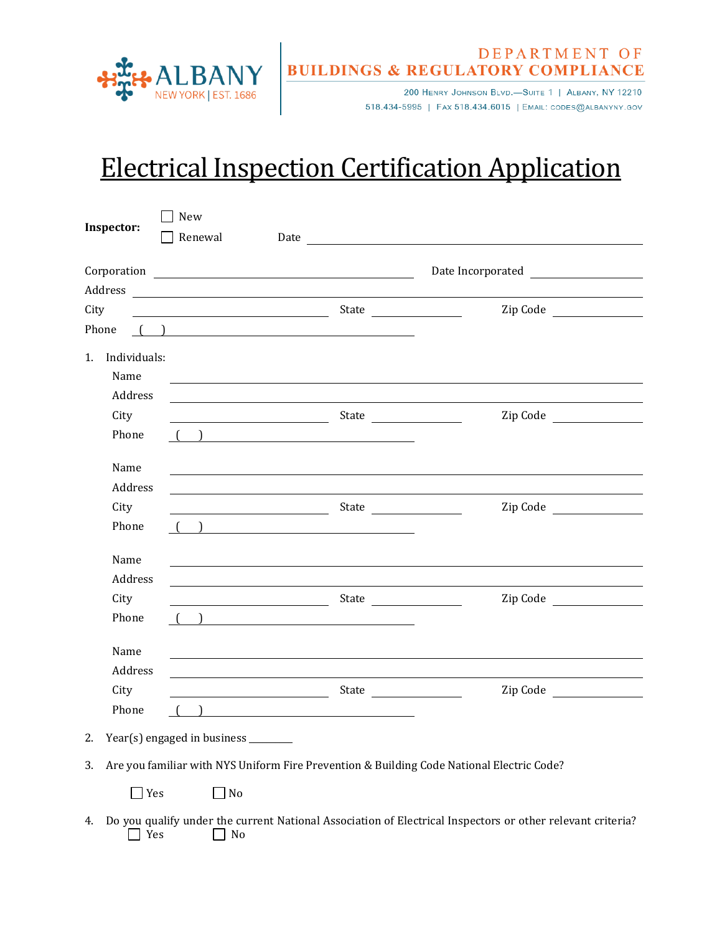

## **EPARTMENT OF BUILDINGS & REGULATORY COMPLIANCE**

518.434-5995 | FAX 518.434.6015 | EMAIL: CODES@ALBANYNY.GOV

## Electrical Inspection Certification Application

| Inspector:                                                                                      | New                                 |                                                                                                                                                                                                                                                                                                                                                                                                                          |                   |  |  |  |
|-------------------------------------------------------------------------------------------------|-------------------------------------|--------------------------------------------------------------------------------------------------------------------------------------------------------------------------------------------------------------------------------------------------------------------------------------------------------------------------------------------------------------------------------------------------------------------------|-------------------|--|--|--|
|                                                                                                 | Renewal                             |                                                                                                                                                                                                                                                                                                                                                                                                                          |                   |  |  |  |
|                                                                                                 |                                     | $\begin{tabular}{c} Corporation \\ \hline \rule[1mm]{1mm}{1mm} \end{tabular}$                                                                                                                                                                                                                                                                                                                                            | Date Incorporated |  |  |  |
|                                                                                                 |                                     |                                                                                                                                                                                                                                                                                                                                                                                                                          |                   |  |  |  |
| City                                                                                            |                                     | $\frac{1}{2}$ State $\frac{1}{2}$ State $\frac{1}{2}$                                                                                                                                                                                                                                                                                                                                                                    | Zip Code          |  |  |  |
| Phone                                                                                           |                                     | $\begin{array}{ c c c c c }\hline \textbf{0} & \textbf{0} & \textbf{0} & \textbf{0} & \textbf{0} & \textbf{0} & \textbf{0} & \textbf{0} & \textbf{0} & \textbf{0} & \textbf{0} & \textbf{0} & \textbf{0} & \textbf{0} & \textbf{0} & \textbf{0} & \textbf{0} & \textbf{0} & \textbf{0} & \textbf{0} & \textbf{0} & \textbf{0} & \textbf{0} & \textbf{0} & \textbf{0} & \textbf{0} & \textbf{0} & \textbf{0} & \textbf{0$ |                   |  |  |  |
| 1. Individuals:<br>Name                                                                         |                                     |                                                                                                                                                                                                                                                                                                                                                                                                                          |                   |  |  |  |
| Address                                                                                         |                                     |                                                                                                                                                                                                                                                                                                                                                                                                                          |                   |  |  |  |
| City                                                                                            |                                     | $S$ tate $\frac{1}{1-\frac{1}{2-\frac{1}{2-\frac{1}{2-\frac{1}{2-\frac{1}{2-\frac{1}{2-\frac{1}{2-\frac{1}{2-\frac{1}{2-\frac{1}{2-\frac{1}{2-\frac{1}{2-\frac{1}{2-\frac{1}{2-\frac{1}{2-\frac{1}{2-\frac{1}{2-\frac{1}{2-\frac{1}{2-\frac{1}{2-\frac{1}{2-\frac{1}{2-\frac{1}{2-\frac{1}{2-\frac{1}{2-\frac{1}{2-\frac{1}{2-\frac{1}{2-\frac{1}{2-\frac{1}{2-\frac{1}{2-\frac{1}{2-\frac{1}{2-\frac{1}{2-\frac$        | Zip Code          |  |  |  |
| Phone                                                                                           |                                     | $\begin{array}{ccc} \begin{array}{ccc} \begin{array}{ccc} \end{array} & \end{array} & \begin{array}{ccc} \end{array} & \begin{array}{ccc} \end{array} & \end{array}$                                                                                                                                                                                                                                                     |                   |  |  |  |
| Name                                                                                            |                                     |                                                                                                                                                                                                                                                                                                                                                                                                                          |                   |  |  |  |
| Address                                                                                         |                                     |                                                                                                                                                                                                                                                                                                                                                                                                                          |                   |  |  |  |
| City                                                                                            |                                     | $S$ tate $\frac{1}{1-\frac{1}{2-\frac{1}{2-\frac{1}{2-\frac{1}{2-\frac{1}{2-\frac{1}{2-\frac{1}{2-\frac{1}{2-\frac{1}{2-\frac{1}{2-\frac{1}{2-\frac{1}{2-\frac{1}{2-\frac{1}{2-\frac{1}{2-\frac{1}{2-\frac{1}{2-\frac{1}{2-\frac{1}{2-\frac{1}{2-\frac{1}{2-\frac{1}{2-\frac{1}{2-\frac{1}{2-\frac{1}{2-\frac{1}{2-\frac{1}{2-\frac{1}{2-\frac{1}{2-\frac{1}{2-\frac{1}{2-\frac{1}{2-\frac{1}{2-\frac{1}{2-\frac$        | Zip Code          |  |  |  |
| Phone                                                                                           |                                     | $\begin{pmatrix} 1 & 1 \end{pmatrix}$                                                                                                                                                                                                                                                                                                                                                                                    |                   |  |  |  |
| Name                                                                                            |                                     |                                                                                                                                                                                                                                                                                                                                                                                                                          |                   |  |  |  |
| Address                                                                                         |                                     |                                                                                                                                                                                                                                                                                                                                                                                                                          |                   |  |  |  |
| City                                                                                            |                                     |                                                                                                                                                                                                                                                                                                                                                                                                                          | Zip Code          |  |  |  |
| Phone                                                                                           |                                     | $\begin{array}{ccc} \begin{array}{ccc} \begin{array}{ccc} \end{array} & \end{array} & \begin{array}{ccc} \end{array} & \end{array}$                                                                                                                                                                                                                                                                                      |                   |  |  |  |
| Name                                                                                            |                                     |                                                                                                                                                                                                                                                                                                                                                                                                                          |                   |  |  |  |
| Address                                                                                         |                                     |                                                                                                                                                                                                                                                                                                                                                                                                                          |                   |  |  |  |
| City                                                                                            |                                     |                                                                                                                                                                                                                                                                                                                                                                                                                          | Zip Code          |  |  |  |
| Phone                                                                                           |                                     |                                                                                                                                                                                                                                                                                                                                                                                                                          |                   |  |  |  |
| 2.                                                                                              | Year(s) engaged in business _______ |                                                                                                                                                                                                                                                                                                                                                                                                                          |                   |  |  |  |
| Are you familiar with NYS Uniform Fire Prevention & Building Code National Electric Code?<br>3. |                                     |                                                                                                                                                                                                                                                                                                                                                                                                                          |                   |  |  |  |
| $\exists$ Yes                                                                                   | $ $ No                              |                                                                                                                                                                                                                                                                                                                                                                                                                          |                   |  |  |  |

4. Do you qualify under the current National Association of Electrical Inspectors or other relevant criteria?  $\Box$  Yes  $\Box$  No